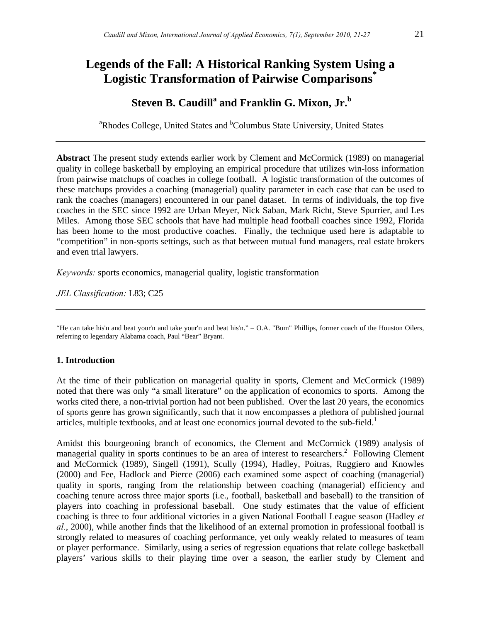## **Legends of the Fall: A Historical Ranking System Using a Logistic Transformation of Pairwise Comparisons\***

# **Steven B. Caudill<sup>a</sup> and Franklin G. Mixon, Jr.<sup>b</sup>**

<sup>a</sup>Rhodes College, United States and <sup>b</sup>Columbus State University, United States

**Abstract** The present study extends earlier work by Clement and McCormick (1989) on managerial quality in college basketball by employing an empirical procedure that utilizes win-loss information from pairwise matchups of coaches in college football. A logistic transformation of the outcomes of these matchups provides a coaching (managerial) quality parameter in each case that can be used to rank the coaches (managers) encountered in our panel dataset. In terms of individuals, the top five coaches in the SEC since 1992 are Urban Meyer, Nick Saban, Mark Richt, Steve Spurrier, and Les Miles. Among those SEC schools that have had multiple head football coaches since 1992, Florida has been home to the most productive coaches. Finally, the technique used here is adaptable to "competition" in non-sports settings, such as that between mutual fund managers, real estate brokers and even trial lawyers.

*Keywords:* sports economics, managerial quality, logistic transformation

*JEL Classification:* L83; C25

"He can take his'n and beat your'n and take your'n and beat his'n." – O.A. "Bum" Phillips, former coach of the Houston Oilers, referring to legendary Alabama coach, Paul "Bear" Bryant.

## **1. Introduction**

At the time of their publication on managerial quality in sports, Clement and McCormick (1989) noted that there was only "a small literature" on the application of economics to sports. Among the works cited there, a non-trivial portion had not been published. Over the last 20 years, the economics of sports genre has grown significantly, such that it now encompasses a plethora of published journal articles, multiple textbooks, and at least one economics journal devoted to the sub-field.<sup>1</sup>

Amidst this bourgeoning branch of economics, the Clement and McCormick (1989) analysis of managerial quality in sports continues to be an area of interest to researchers.<sup>2</sup> Following Clement and McCormick (1989), Singell (1991), Scully (1994), Hadley, Poitras, Ruggiero and Knowles (2000) and Fee, Hadlock and Pierce (2006) each examined some aspect of coaching (managerial) quality in sports, ranging from the relationship between coaching (managerial) efficiency and coaching tenure across three major sports (i.e., football, basketball and baseball) to the transition of players into coaching in professional baseball. One study estimates that the value of efficient coaching is three to four additional victories in a given National Football League season (Hadley *et al.*, 2000), while another finds that the likelihood of an external promotion in professional football is strongly related to measures of coaching performance, yet only weakly related to measures of team or player performance. Similarly, using a series of regression equations that relate college basketball players' various skills to their playing time over a season, the earlier study by Clement and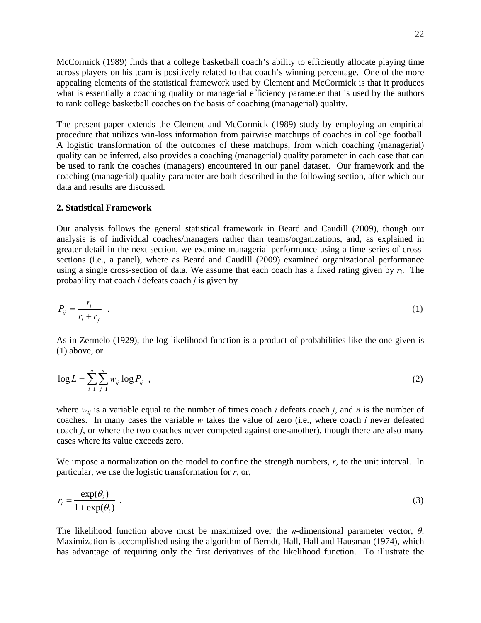McCormick (1989) finds that a college basketball coach's ability to efficiently allocate playing time across players on his team is positively related to that coach's winning percentage. One of the more appealing elements of the statistical framework used by Clement and McCormick is that it produces what is essentially a coaching quality or managerial efficiency parameter that is used by the authors to rank college basketball coaches on the basis of coaching (managerial) quality.

The present paper extends the Clement and McCormick (1989) study by employing an empirical procedure that utilizes win-loss information from pairwise matchups of coaches in college football. A logistic transformation of the outcomes of these matchups, from which coaching (managerial) quality can be inferred, also provides a coaching (managerial) quality parameter in each case that can be used to rank the coaches (managers) encountered in our panel dataset. Our framework and the coaching (managerial) quality parameter are both described in the following section, after which our data and results are discussed.

#### **2. Statistical Framework**

Our analysis follows the general statistical framework in Beard and Caudill (2009), though our analysis is of individual coaches/managers rather than teams/organizations, and, as explained in greater detail in the next section, we examine managerial performance using a time-series of crosssections (i.e., a panel), where as Beard and Caudill (2009) examined organizational performance using a single cross-section of data. We assume that each coach has a fixed rating given by  $r_i$ . The probability that coach *i* defeats coach *j* is given by

$$
P_{ij} = \frac{r_i}{r_i + r_j} \tag{1}
$$

As in Zermelo (1929), the log-likelihood function is a product of probabilities like the one given is (1) above, or

$$
\log L = \sum_{i=1}^{n} \sum_{j=1}^{n} w_{ij} \log P_{ij} \quad , \tag{2}
$$

where  $w_{ij}$  is a variable equal to the number of times coach *i* defeats coach *j*, and *n* is the number of coaches. In many cases the variable *w* takes the value of zero (i.e., where coach *i* never defeated coach *j*, or where the two coaches never competed against one-another), though there are also many cases where its value exceeds zero.

We impose a normalization on the model to confine the strength numbers, *r*, to the unit interval. In particular, we use the logistic transformation for *r*, or,

$$
r_i = \frac{\exp(\theta_i)}{1 + \exp(\theta_i)} \tag{3}
$$

The likelihood function above must be maximized over the *n*-dimensional parameter vector, *θ*. Maximization is accomplished using the algorithm of Berndt, Hall, Hall and Hausman (1974), which has advantage of requiring only the first derivatives of the likelihood function. To illustrate the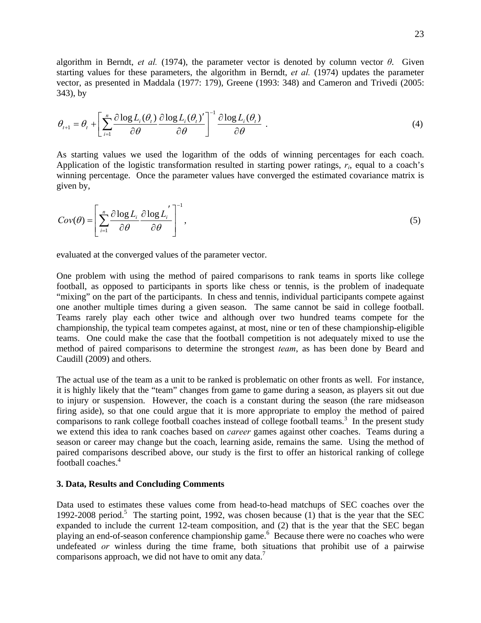algorithm in Berndt, *et al.* (1974), the parameter vector is denoted by column vector  $\theta$ . Given starting values for these parameters, the algorithm in Berndt, *et al.* (1974) updates the parameter vector, as presented in Maddala (1977: 179), Greene (1993: 348) and Cameron and Trivedi (2005: 343), by

$$
\theta_{t+1} = \theta_t + \left[ \sum_{i=1}^n \frac{\partial \log L_i(\theta_t)}{\partial \theta} \frac{\partial \log L_i(\theta_t)}{\partial \theta} \right]^{-1} \frac{\partial \log L_i(\theta_t)}{\partial \theta} .
$$
\n(4)

As starting values we used the logarithm of the odds of winning percentages for each coach. Application of the logistic transformation resulted in starting power ratings,  $r_i$ , equal to a coach's winning percentage. Once the parameter values have converged the estimated covariance matrix is given by,

$$
Cov(\theta) = \left[ \sum_{i=1}^{n} \frac{\partial \log L_i}{\partial \theta} \frac{\partial \log L'_i}{\partial \theta} \right]^{-1},\tag{5}
$$

evaluated at the converged values of the parameter vector.

One problem with using the method of paired comparisons to rank teams in sports like college football, as opposed to participants in sports like chess or tennis, is the problem of inadequate "mixing" on the part of the participants. In chess and tennis, individual participants compete against one another multiple times during a given season. The same cannot be said in college football. Teams rarely play each other twice and although over two hundred teams compete for the championship, the typical team competes against, at most, nine or ten of these championship-eligible teams. One could make the case that the football competition is not adequately mixed to use the method of paired comparisons to determine the strongest *team*, as has been done by Beard and Caudill (2009) and others.

The actual use of the team as a unit to be ranked is problematic on other fronts as well. For instance, it is highly likely that the "team" changes from game to game during a season, as players sit out due to injury or suspension. However, the coach is a constant during the season (the rare midseason firing aside), so that one could argue that it is more appropriate to employ the method of paired comparisons to rank college football coaches instead of college football teams.<sup>3</sup> In the present study we extend this idea to rank coaches based on *career* games against other coaches. Teams during a season or career may change but the coach, learning aside, remains the same. Using the method of paired comparisons described above, our study is the first to offer an historical ranking of college football coaches.<sup>4</sup>

#### **3. Data, Results and Concluding Comments**

Data used to estimates these values come from head-to-head matchups of SEC coaches over the 1992-2008 period.<sup>5</sup> The starting point, 1992, was chosen because (1) that is the year that the SEC expanded to include the current  $12$ -team composition, and (2) that is the year that the SEC began playing an end-of-season conference championship game.<sup>6</sup> Because there were no coaches who were undefeated *or* winless during the time frame, both situations that prohibit use of a pairwise comparisons approach, we did not have to omit any data.<sup>7</sup>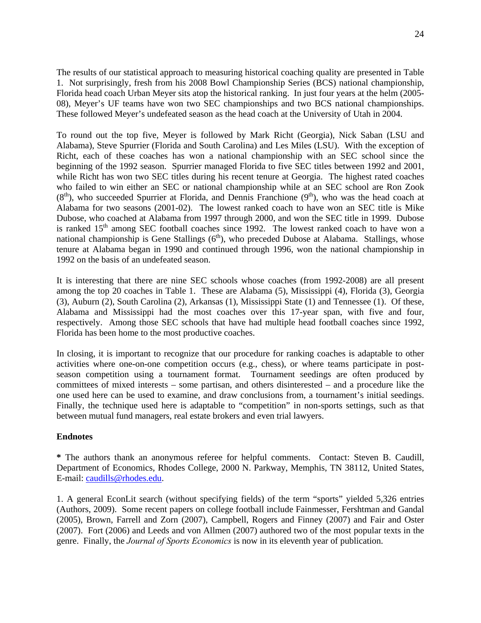The results of our statistical approach to measuring historical coaching quality are presented in Table 1. Not surprisingly, fresh from his 2008 Bowl Championship Series (BCS) national championship, Florida head coach Urban Meyer sits atop the historical ranking. In just four years at the helm (2005- 08), Meyer's UF teams have won two SEC championships and two BCS national championships. These followed Meyer's undefeated season as the head coach at the University of Utah in 2004.

To round out the top five, Meyer is followed by Mark Richt (Georgia), Nick Saban (LSU and Alabama), Steve Spurrier (Florida and South Carolina) and Les Miles (LSU). With the exception of Richt, each of these coaches has won a national championship with an SEC school since the beginning of the 1992 season. Spurrier managed Florida to five SEC titles between 1992 and 2001, while Richt has won two SEC titles during his recent tenure at Georgia. The highest rated coaches who failed to win either an SEC or national championship while at an SEC school are Ron Zook  $(8<sup>th</sup>)$ , who succeeded Spurrier at Florida, and Dennis Franchione  $(9<sup>th</sup>)$ , who was the head coach at Alabama for two seasons (2001-02). The lowest ranked coach to have won an SEC title is Mike Dubose, who coached at Alabama from 1997 through 2000, and won the SEC title in 1999. Dubose is ranked  $15<sup>th</sup>$  among SEC football coaches since 1992. The lowest ranked coach to have won a national championship is Gene Stallings  $(6<sup>th</sup>)$ , who preceded Dubose at Alabama. Stallings, whose tenure at Alabama began in 1990 and continued through 1996, won the national championship in 1992 on the basis of an undefeated season.

It is interesting that there are nine SEC schools whose coaches (from 1992-2008) are all present among the top 20 coaches in Table 1. These are Alabama (5), Mississippi (4), Florida (3), Georgia (3), Auburn (2), South Carolina (2), Arkansas (1), Mississippi State (1) and Tennessee (1). Of these, Alabama and Mississippi had the most coaches over this 17-year span, with five and four, respectively. Among those SEC schools that have had multiple head football coaches since 1992, Florida has been home to the most productive coaches.

In closing, it is important to recognize that our procedure for ranking coaches is adaptable to other activities where one-on-one competition occurs (e.g., chess), or where teams participate in postseason competition using a tournament format. Tournament seedings are often produced by committees of mixed interests – some partisan, and others disinterested – and a procedure like the one used here can be used to examine, and draw conclusions from, a tournament's initial seedings. Finally, the technique used here is adaptable to "competition" in non-sports settings, such as that between mutual fund managers, real estate brokers and even trial lawyers.

## **Endnotes**

**\*** The authors thank an anonymous referee for helpful comments. Contact: Steven B. Caudill, Department of Economics, Rhodes College, 2000 N. Parkway, Memphis, TN 38112, United States, E-mail: [caudills@rhodes.edu.](mailto:caudills@rhodes.edu)

1. A general EconLit search (without specifying fields) of the term "sports" yielded 5,326 entries (Authors, 2009). Some recent papers on college football include Fainmesser, Fershtman and Gandal (2005), Brown, Farrell and Zorn (2007), Campbell, Rogers and Finney (2007) and Fair and Oster (2007). Fort (2006) and Leeds and von Allmen (2007) authored two of the most popular texts in the genre. Finally, the *Journal of Sports Economics* is now in its eleventh year of publication.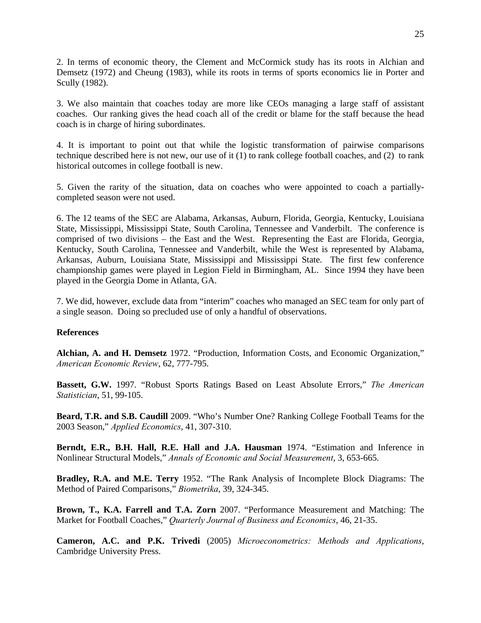2. In terms of economic theory, the Clement and McCormick study has its roots in Alchian and Demsetz (1972) and Cheung (1983), while its roots in terms of sports economics lie in Porter and Scully (1982).

3. We also maintain that coaches today are more like CEOs managing a large staff of assistant coaches. Our ranking gives the head coach all of the credit or blame for the staff because the head coach is in charge of hiring subordinates.

4. It is important to point out that while the logistic transformation of pairwise comparisons technique described here is not new, our use of it (1) to rank college football coaches, and (2) to rank historical outcomes in college football is new.

5. Given the rarity of the situation, data on coaches who were appointed to coach a partiallycompleted season were not used.

6. The 12 teams of the SEC are Alabama, Arkansas, Auburn, Florida, Georgia, Kentucky, Louisiana State, Mississippi, Mississippi State, South Carolina, Tennessee and Vanderbilt. The conference is comprised of two divisions – the East and the West. Representing the East are Florida, Georgia, Kentucky, South Carolina, Tennessee and Vanderbilt, while the West is represented by Alabama, Arkansas, Auburn, Louisiana State, Mississippi and Mississippi State. The first few conference championship games were played in Legion Field in Birmingham, AL. Since 1994 they have been played in the Georgia Dome in Atlanta, GA.

7. We did, however, exclude data from "interim" coaches who managed an SEC team for only part of a single season. Doing so precluded use of only a handful of observations.

## **References**

**Alchian, A. and H. Demsetz** 1972. "Production, Information Costs, and Economic Organization," *American Economic Review*, 62, 777-795.

**Bassett, G.W.** 1997. "Robust Sports Ratings Based on Least Absolute Errors," *The American Statistician*, 51, 99-105.

**Beard, T.R. and S.B. Caudill** 2009. "Who's Number One? Ranking College Football Teams for the 2003 Season," *Applied Economics*, 41, 307-310.

**Berndt, E.R., B.H. Hall, R.E. Hall and J.A. Hausman** 1974. "Estimation and Inference in Nonlinear Structural Models," *Annals of Economic and Social Measurement*, 3, 653-665.

**Bradley, R.A. and M.E. Terry** 1952. "The Rank Analysis of Incomplete Block Diagrams: The Method of Paired Comparisons," *Biometrika*, 39, 324-345.

**Brown, T., K.A. Farrell and T.A. Zorn** 2007. "Performance Measurement and Matching: The Market for Football Coaches," *Quarterly Journal of Business and Economics*, 46, 21-35.

**Cameron, A.C. and P.K. Trivedi** (2005) *Microeconometrics: Methods and Applications*, Cambridge University Press.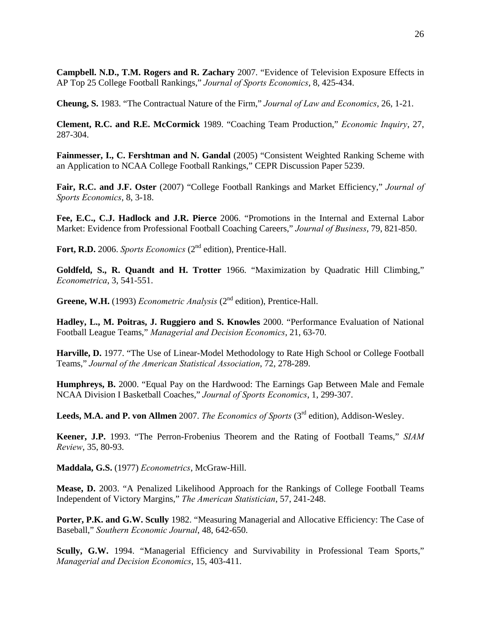**Campbell. N.D., T.M. Rogers and R. Zachary** 2007. "Evidence of Television Exposure Effects in AP Top 25 College Football Rankings," *Journal of Sports Economics*, 8, 425-434.

**Cheung, S.** 1983. "The Contractual Nature of the Firm," *Journal of Law and Economics*, 26, 1-21.

**Clement, R.C. and R.E. McCormick** 1989. "Coaching Team Production," *Economic Inquiry*, 27, 287-304.

**Fainmesser, I., C. Fershtman and N. Gandal** (2005) "Consistent Weighted Ranking Scheme with an Application to NCAA College Football Rankings," CEPR Discussion Paper 5239.

**Fair, R.C. and J.F. Oster** (2007) "College Football Rankings and Market Efficiency," *Journal of Sports Economics*, 8, 3-18.

**Fee, E.C., C.J. Hadlock and J.R. Pierce** 2006. "Promotions in the Internal and External Labor Market: Evidence from Professional Football Coaching Careers," *Journal of Business*, 79, 821-850.

Fort, R.D. 2006. *Sports Economics* (2<sup>nd</sup> edition), Prentice-Hall.

**Goldfeld, S., R. Quandt and H. Trotter** 1966. "Maximization by Quadratic Hill Climbing," *Econometrica*, 3, 541-551.

Greene, W.H. (1993) *Econometric Analysis* (2<sup>nd</sup> edition), Prentice-Hall.

**Hadley, L., M. Poitras, J. Ruggiero and S. Knowles** 2000. "Performance Evaluation of National Football League Teams," *Managerial and Decision Economics*, 21, 63-70.

**Harville, D.** 1977. "The Use of Linear-Model Methodology to Rate High School or College Football Teams," *Journal of the American Statistical Association*, 72, 278-289.

**Humphreys, B.** 2000. "Equal Pay on the Hardwood: The Earnings Gap Between Male and Female NCAA Division I Basketball Coaches," *Journal of Sports Economics*, 1, 299-307.

Leeds, M.A. and P. von Allmen 2007. *The Economics of Sports* (3<sup>rd</sup> edition), Addison-Wesley.

**Keener, J.P.** 1993. "The Perron-Frobenius Theorem and the Rating of Football Teams," *SIAM Review*, 35, 80-93.

**Maddala, G.S.** (1977) *Econometrics*, McGraw-Hill.

**Mease, D.** 2003. "A Penalized Likelihood Approach for the Rankings of College Football Teams Independent of Victory Margins," *The American Statistician*, 57, 241-248.

**Porter, P.K. and G.W. Scully** 1982. "Measuring Managerial and Allocative Efficiency: The Case of Baseball," *Southern Economic Journal*, 48, 642-650.

**Scully, G.W.** 1994. "Managerial Efficiency and Survivability in Professional Team Sports," *Managerial and Decision Economics*, 15, 403-411.